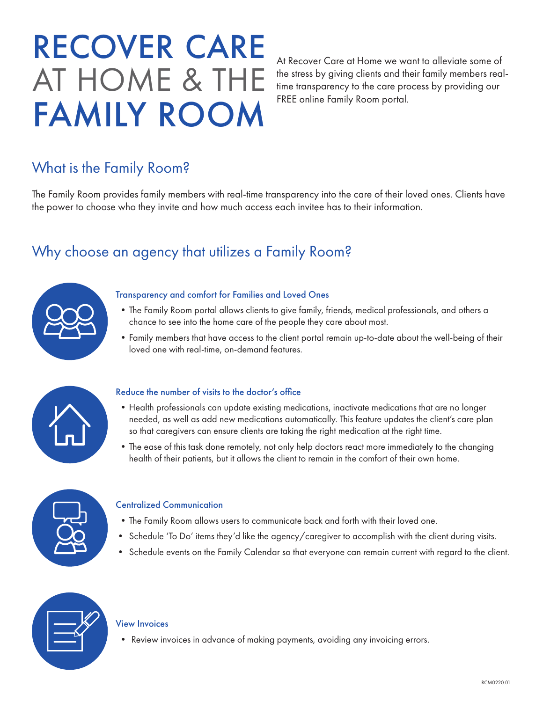# RECOVER CARE AT HOME & THE FAMILY ROOM

At Recover Care at Home we want to alleviate some of the stress by giving clients and their family members realtime transparency to the care process by providing our FREE online Family Room portal.

# What is the Family Room?

The Family Room provides family members with real-time transparency into the care of their loved ones. Clients have the power to choose who they invite and how much access each invitee has to their information.

## Why choose an agency that utilizes a Family Room?



## Transparency and comfort for Families and Loved Ones

- •The Family Room portal allows clients to give family, friends, medical professionals, and others a chance to see into the home care of the people they care about most.
- •Family members that have access to the client portal remain up-to-date about the well-being of their loved one with real-time, on-demand features.



#### Reduce the number of visits to the doctor's office

- •Health professionals can update existing medications, inactivate medications that are no longer needed, as well as add new medications automatically. This feature updates the client's care plan so that caregivers can ensure clients are taking the right medication at the right time.
- •The ease of this task done remotely, not only help doctors react more immediately to the changing health of their patients, but it allows the client to remain in the comfort of their own home.



## Centralized Communication

- •The Family Room allows users to communicate back and forth with their loved one.
- Schedule 'To Do' items they'd like the agency/caregiver to accomplish with the client during visits.
- Schedule events on the Family Calendar so that everyone can remain current with regard to the client.



#### View Invoices

• Review invoices in advance of making payments, avoiding any invoicing errors.